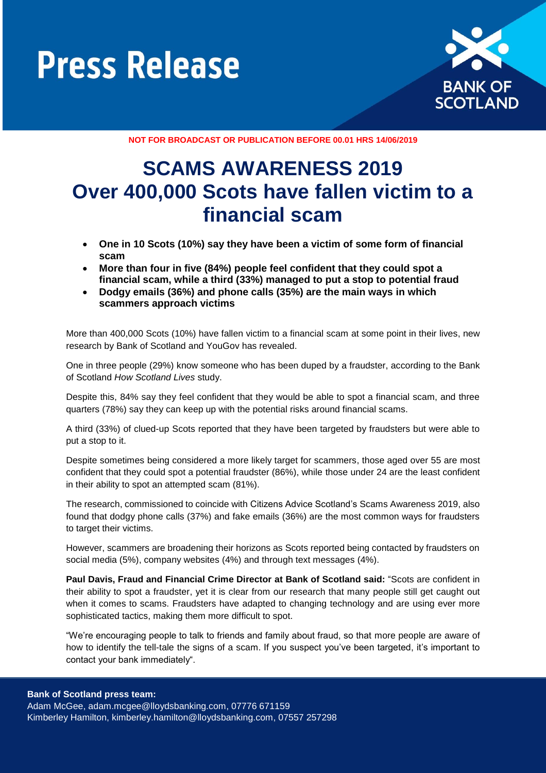



**NOT FOR BROADCAST OR PUBLICATION BEFORE 00.01 HRS 14/06/2019**

# **SCAMS AWARENESS 2019 Over 400,000 Scots have fallen victim to a financial scam**

- **One in 10 Scots (10%) say they have been a victim of some form of financial scam**
- **More than four in five (84%) people feel confident that they could spot a financial scam, while a third (33%) managed to put a stop to potential fraud**
- **Dodgy emails (36%) and phone calls (35%) are the main ways in which scammers approach victims**

More than 400,000 Scots (10%) have fallen victim to a financial scam at some point in their lives, new research by Bank of Scotland and YouGov has revealed.

One in three people (29%) know someone who has been duped by a fraudster, according to the Bank of Scotland *How Scotland Lives* study.

Despite this, 84% say they feel confident that they would be able to spot a financial scam, and three quarters (78%) say they can keep up with the potential risks around financial scams.

A third (33%) of clued-up Scots reported that they have been targeted by fraudsters but were able to put a stop to it.

Despite sometimes being considered a more likely target for scammers, those aged over 55 are most confident that they could spot a potential fraudster (86%), while those under 24 are the least confident in their ability to spot an attempted scam (81%).

The research, commissioned to coincide with Citizens Advice Scotland's Scams Awareness 2019, also found that dodgy phone calls (37%) and fake emails (36%) are the most common ways for fraudsters to target their victims.

However, scammers are broadening their horizons as Scots reported being contacted by fraudsters on social media (5%), company websites (4%) and through text messages (4%).

**Paul Davis, Fraud and Financial Crime Director at Bank of Scotland said:** "Scots are confident in their ability to spot a fraudster, yet it is clear from our research that many people still get caught out when it comes to scams. Fraudsters have adapted to changing technology and are using ever more sophisticated tactics, making them more difficult to spot.

"We're encouraging people to talk to friends and family about fraud, so that more people are aware of how to identify the tell-tale the signs of a scam. If you suspect you've been targeted, it's important to contact your bank immediately".

Adam McGee, [adam.mcgee@lloydsbanking.com,](mailto:olwen.morris-jones@lloydsbanking.com) 07776 671159 Kimberley Hamilton, kimberley.hamilton@lloydsbanking.com, 07557 257298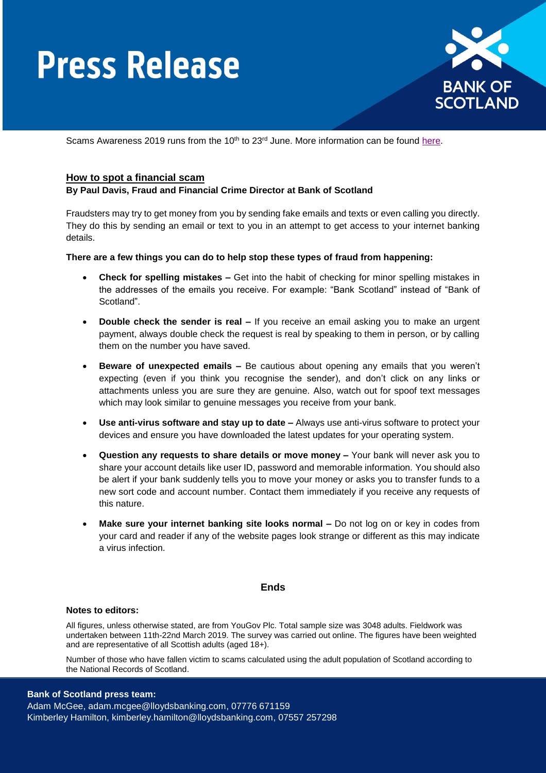# **Press Release**



Scams Awareness 2019 runs from the  $10<sup>th</sup>$  to  $23<sup>rd</sup>$  June. More information can be found [here.](https://www.citizensadvice.org.uk/about-us/our-campaigns/all-our-current-campaigns/scams-awareness-campaign-2019/)

# **How to spot a financial scam**

### **By Paul Davis, Fraud and Financial Crime Director at Bank of Scotland**

Fraudsters may try to get money from you by sending fake emails and texts or even calling you directly. They do this by sending an email or text to you in an attempt to get access to your internet banking details.

**There are a few things you can do to help stop these types of fraud from happening:**

- **Check for spelling mistakes –** Get into the habit of checking for minor spelling mistakes in the addresses of the emails you receive. For example: "Bank Scotland" instead of "Bank of Scotland".
- **Double check the sender is real –** If you receive an email asking you to make an urgent payment, always double check the request is real by speaking to them in person, or by calling them on the number you have saved.
- **Beware of unexpected emails –** Be cautious about opening any emails that you weren't expecting (even if you think you recognise the sender), and don't click on any links or attachments unless you are sure they are genuine. Also, watch out for spoof text messages which may look similar to genuine messages you receive from your bank.
- **Use anti-virus software and stay up to date –** Always use anti-virus software to protect your devices and ensure you have downloaded the latest updates for your operating system.
- **Question any requests to share details or move money –** Your bank will never ask you to share your account details like user ID, password and memorable information. You should also be alert if your bank suddenly tells you to move your money or asks you to transfer funds to a new sort code and account number. Contact them immediately if you receive any requests of this nature.
- **Make sure your internet banking site looks normal –** Do not log on or key in codes from your card and reader if any of the website pages look strange or different as this may indicate a virus infection.

### **Ends**

#### **Notes to editors:**

All figures, unless otherwise stated, are from YouGov Plc. Total sample size was 3048 adults. Fieldwork was undertaken between 11th-22nd March 2019. The survey was carried out online. The figures have been weighted and are representative of all Scottish adults (aged 18+).

Number of those who have fallen victim to scams calculated using the adult population of Scotland according to the National Records of Scotland.

# **Bank of Scotland press team:**

Adam McGee, [adam.mcgee@lloydsbanking.com,](mailto:olwen.morris-jones@lloydsbanking.com) 07776 671159 Kimberley Hamilton, kimberley.hamilton@lloydsbanking.com, 07557 257298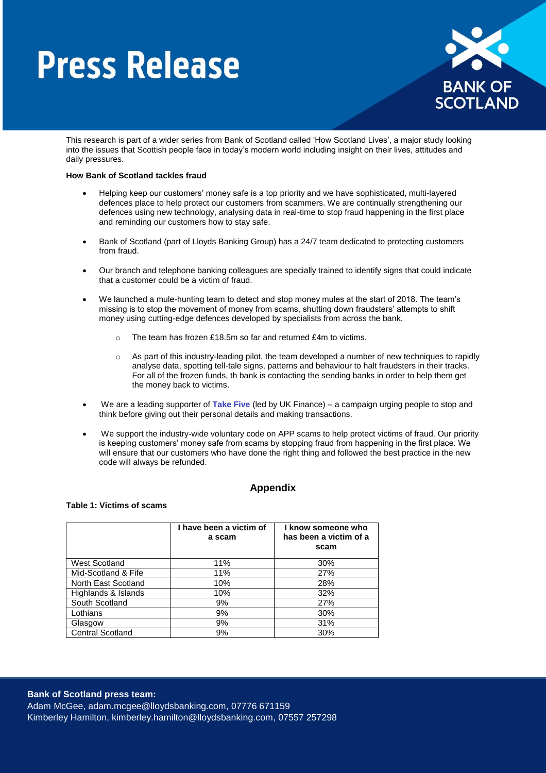# **Press Release**



This research is part of a wider series from Bank of Scotland called 'How Scotland Lives', a major study looking into the issues that Scottish people face in today's modern world including insight on their lives, attitudes and daily pressures.

#### **How Bank of Scotland tackles fraud**

- Helping keep our customers' money safe is a top priority and we have sophisticated, multi-layered defences place to help protect our customers from scammers. We are continually strengthening our defences using new technology, analysing data in real-time to stop fraud happening in the first place and reminding our customers how to stay safe.
- Bank of Scotland (part of Lloyds Banking Group) has a 24/7 team dedicated to protecting customers from fraud.
- Our branch and telephone banking colleagues are specially trained to identify signs that could indicate that a customer could be a victim of fraud.
- We launched a mule-hunting team to detect and stop money mules at the start of 2018. The team's missing is to stop the movement of money from scams, shutting down fraudsters' attempts to shift money using cutting-edge defences developed by specialists from across the bank.
	- The team has frozen £18.5m so far and returned £4m to victims.
	- o As part of this industry-leading pilot, the team developed a number of new techniques to rapidly analyse data, spotting tell-tale signs, patterns and behaviour to halt fraudsters in their tracks. For all of the frozen funds, th bank is contacting the sending banks in order to help them get the money back to victims.
- We are a leading supporter of **[Take Five](https://takefive-stopfraud.org.uk/)** (led by UK Finance) a campaign urging people to stop and think before giving out their personal details and making transactions.
- We support the industry-wide voluntary code on APP scams to help protect victims of fraud. Our priority is keeping customers' money safe from scams by stopping fraud from happening in the first place. We will ensure that our customers who have done the right thing and followed the best practice in the new code will always be refunded.

# **Appendix**

#### **Table 1: Victims of scams**

|                         | I have been a victim of<br>a scam | I know someone who<br>has been a victim of a<br>scam |
|-------------------------|-----------------------------------|------------------------------------------------------|
| West Scotland           | 11%                               | 30%                                                  |
| Mid-Scotland & Fife     | 11%                               | 27%                                                  |
| North East Scotland     | 10%                               | 28%                                                  |
| Highlands & Islands     | 10%                               | 32%                                                  |
| South Scotland          | 9%                                | 27%                                                  |
| Lothians                | 9%                                | 30%                                                  |
| Glasgow                 | 9%                                | 31%                                                  |
| <b>Central Scotland</b> | 9%                                | 30%                                                  |

# **Bank of Scotland press team:**

Adam McGee, [adam.mcgee@lloydsbanking.com,](mailto:olwen.morris-jones@lloydsbanking.com) 07776 671159 Kimberley Hamilton, kimberley.hamilton@lloydsbanking.com, 07557 257298